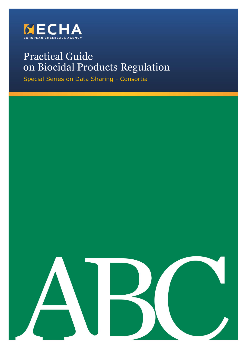

# Practical Guide on Biocidal Products Regulation

Special Series on Data Sharing - Consortia

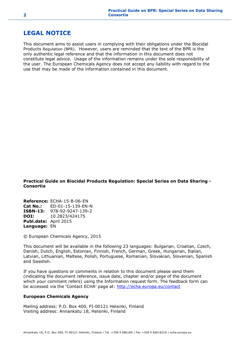### <span id="page-1-0"></span>**LEGAL NOTICE**

This document aims to assist users in complying with their obligations under the Biocidal Products Regulation (BPR). However, users are reminded that the text of the BPR is the only authentic legal reference and that the information in this document does not constitute legal advice. Usage of the information remains under the sole responsibility of the user. The European Chemicals Agency does not accept any liability with regard to the use that may be made of the information contained in this document.

**Practical Guide on Biocidal Products Regulation: Special Series on Data Sharing - Consortia**

**Reference:** ECHA-15-B-06-EN **Cat No.:** ED-01-15-139-EN-N **ISBN-13:** 978-92-9247-139-2 **DOI:** 10.2823/424175 **Publ.date:** April 2015 **Language:** EN

© European Chemicals Agency, 2015

This document will be available in the following 23 languages: Bulgarian, Croatian, Czech, Danish, Dutch, English, Estonian, Finnish, French, German, Greek, Hungarian, Italian, Latvian, Lithuanian, Maltese, Polish, Portuguese, Romanian, Slovakian, Slovenian, Spanish and Swedish.

If you have questions or comments in relation to this document please send them (indicating the document reference, issue date, chapter and/or page of the document which your comment refers) using the Information request form. The feedback form can be accessed via the 'Contact ECHA' page at: <http://echa.europa.eu/contact>

#### **European Chemicals Agency**

Mailing address: P.O. Box 400, FI-00121 Helsinki, Finland Visiting address: Annankatu 18, Helsinki, Finland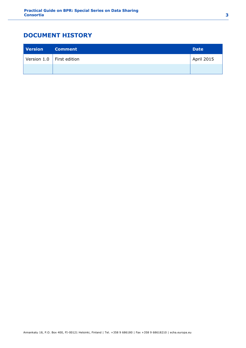## <span id="page-2-0"></span>**DOCUMENT HISTORY**

| <b>Version</b> | <b>Comment</b>              | <b>Date</b>       |
|----------------|-----------------------------|-------------------|
|                | Version 1.0   First edition | <b>April 2015</b> |
|                |                             |                   |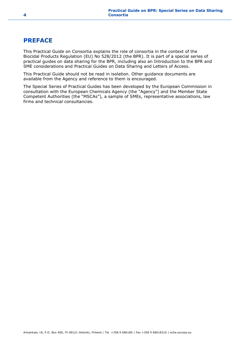### <span id="page-3-0"></span>**PREFACE**

This Practical Guide on Consortia explains the role of consortia in the context of the Biocidal Products Regulation (EU) No 528/2012 (the BPR). It is part of a special series of practical guides on data sharing for the BPR, including also an Introduction to the BPR and SME considerations and Practical Guides on Data Sharing and Letters of Access.

This Practical Guide should not be read in isolation. Other guidance documents are available from the Agency and reference to them is encouraged.

The Special Series of Practical Guides has been developed by the European Commission in consultation with the European Chemicals Agency (the "Agency") and the Member State Competent Authorities (the "MSCAs"), a sample of SMEs, representative associations, law firms and technical consultancies.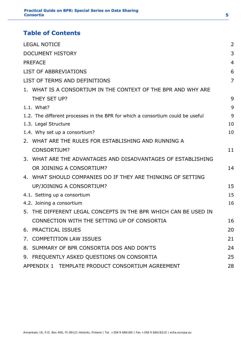### **Table of Contents**

| <b>LEGAL NOTICE</b>                                                            | 2              |
|--------------------------------------------------------------------------------|----------------|
| <b>DOCUMENT HISTORY</b>                                                        | 3              |
| <b>PREFACE</b>                                                                 | $\overline{4}$ |
| <b>LIST OF ABBREVIATIONS</b>                                                   | 6              |
| LIST OF TERMS AND DEFINITIONS                                                  | $\overline{7}$ |
| 1. WHAT IS A CONSORTIUM IN THE CONTEXT OF THE BPR AND WHY ARE                  |                |
| THEY SET UP?                                                                   | 9              |
| 1.1. What?                                                                     | 9              |
| 1.2. The different processes in the BPR for which a consortium could be useful | 9              |
| 1.3. Legal Structure                                                           | 10             |
| 1.4. Why set up a consortium?                                                  | 10             |
| 2. WHAT ARE THE RULES FOR ESTABLISHING AND RUNNING A                           |                |
| <b>CONSORTIUM?</b>                                                             | 11             |
| 3. WHAT ARE THE ADVANTAGES AND DISADVANTAGES OF ESTABLISHING                   |                |
| OR JOINING A CONSORTIUM?                                                       | 14             |
| 4. WHAT SHOULD COMPANIES DO IF THEY ARE THINKING OF SETTING                    |                |
| UP/JOINING A CONSORTIUM?                                                       | 15             |
| 4.1. Setting up a consortium                                                   | 15             |
| 4.2. Joining a consortium                                                      | 16             |
| 5. THE DIFFERENT LEGAL CONCEPTS IN THE BPR WHICH CAN BE USED IN                |                |
| CONNECTION WITH THE SETTING UP OF CONSORTIA                                    | 16             |
| 6. PRACTICAL ISSUES                                                            | 20             |
| 7. COMPETITION LAW ISSUES                                                      | 21             |
| 8. SUMMARY OF BPR CONSORTIA DOS AND DON'TS                                     | 24             |
| 9. FREQUENTLY ASKED QUESTIONS ON CONSORTIA                                     | 25             |
| APPENDIX 1 TEMPLATE PRODUCT CONSORTIUM AGREEMENT                               | 28             |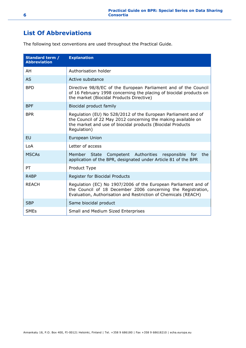### <span id="page-5-0"></span>**List Of Abbreviations**

The following text conventions are used throughout the Practical Guide.

| Standard term /<br><b>Abbreviation</b> | <b>Explanation</b>                                                                                                                                                                                          |
|----------------------------------------|-------------------------------------------------------------------------------------------------------------------------------------------------------------------------------------------------------------|
| AH                                     | Authorisation holder                                                                                                                                                                                        |
| <b>AS</b>                              | Active substance                                                                                                                                                                                            |
| <b>BPD</b>                             | Directive 98/8/EC of the European Parliament and of the Council<br>of 16 February 1998 concerning the placing of biocidal products on<br>the market (Biocidal Products Directive)                           |
| <b>BPF</b>                             | Biocidal product family                                                                                                                                                                                     |
| <b>BPR</b>                             | Regulation (EU) No 528/2012 of the European Parliament and of<br>the Council of 22 May 2012 concerning the making available on<br>the market and use of biocidal products (Biocidal Products<br>Regulation) |
| <b>FU</b>                              | European Union                                                                                                                                                                                              |
| LoA                                    | Letter of access                                                                                                                                                                                            |
| <b>MSCAs</b>                           | Member State Competent Authorities responsible for the<br>application of the BPR, designated under Article 81 of the BPR                                                                                    |
| PT                                     | Product Type                                                                                                                                                                                                |
| R4BP                                   | Register for Biocidal Products                                                                                                                                                                              |
| <b>REACH</b>                           | Regulation (EC) No 1907/2006 of the European Parliament and of<br>the Council of 18 December 2006 concerning the Registration,<br>Evaluation, Authorisation and Restriction of Chemicals (REACH)            |
| <b>SBP</b>                             | Same biocidal product                                                                                                                                                                                       |
| <b>SMEs</b>                            | Small and Medium Sized Enterprises                                                                                                                                                                          |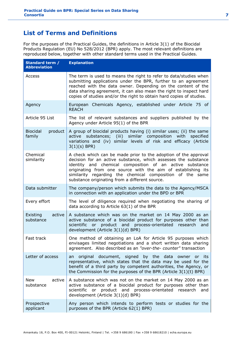### <span id="page-6-0"></span>**List of Terms and Definitions**

For the purposes of the Practical Guides, the definitions in Article 3(1) of the Biocidal Products Regulation (EU) No 528/2012 (BPR) apply. The most relevant definitions are reproduced below, together with other standard terms used in the Practical Guides.

| Standard term /<br><b>Abbreviation</b> | <b>Explanation</b>                                                                                                                                                                                                                                                                                                                                                           |
|----------------------------------------|------------------------------------------------------------------------------------------------------------------------------------------------------------------------------------------------------------------------------------------------------------------------------------------------------------------------------------------------------------------------------|
| Access                                 | The term is used to means the right to refer to data/studies when<br>submitting applications under the BPR, further to an agreement<br>reached with the data owner. Depending on the content of the<br>data sharing agreement, it can also mean the right to inspect hard<br>copies of studies and/or the right to obtain hard copies of studies.                            |
| Agency                                 | European Chemicals Agency, established under Article 75 of<br><b>REACH</b>                                                                                                                                                                                                                                                                                                   |
| Article 95 List                        | The list of relevant substances and suppliers published by the<br>Agency under Article 95(1) of the BPR                                                                                                                                                                                                                                                                      |
| <b>Biocidal</b><br>product<br>family   | A group of biocidal products having (i) similar uses; (ii) the same<br>active substances; (iii) similar composition with specified<br>variations and (iv) similar levels of risk and efficacy (Article<br>$3(1)(s)$ BPR)                                                                                                                                                     |
| Chemical<br>similarity                 | A check which can be made prior to the adoption of the approval<br>decision for an active substance, which assesses the substance<br>identity and chemical composition of an active substance<br>originating from one source with the aim of establishing its<br>similarity regarding the chemical composition of the same<br>substance originating from a different source. |
| Data submitter                         | The company/person which submits the data to the Agency/MSCA<br>in connection with an application under the BPD or BPR                                                                                                                                                                                                                                                       |
| Every effort                           | The level of diligence required when negotiating the sharing of<br>data according to Article 63(1) of the BPR                                                                                                                                                                                                                                                                |
| active<br>Existing<br>substance        | A substance which was on the market on 14 May 2000 as an<br>active substance of a biocidal product for purposes other than<br>scientific or product and process-orientated research<br>and<br>development (Article 3(1)(d) BPR)                                                                                                                                              |
| Fast track                             | One method of obtaining an LoA for Article 95 purposes which<br>envisages limited negotiations and a short written data sharing<br>agreement. Also described as an "over-the- counter" transaction                                                                                                                                                                           |
| Letter of access                       | an original document, signed by the data owner or its<br>representative, which states that the data may be used for the<br>benefit of a third party by competent authorities, the Agency, or<br>the Commission for the purposes of the BPR (Article $3(1)(t)$ BPR)                                                                                                           |
| New<br>active<br>substance             | A substance which was not on the market on 14 May 2000 as an<br>active substance of a biocidal product for purposes other than<br>scientific or product and process-orientated research<br>and<br>development (Article 3(1)(d) BPR)                                                                                                                                          |
| Prospective<br>applicant               | Any person which intends to perform tests or studies for the<br>purposes of the BPR (Article 62(1) BPR)                                                                                                                                                                                                                                                                      |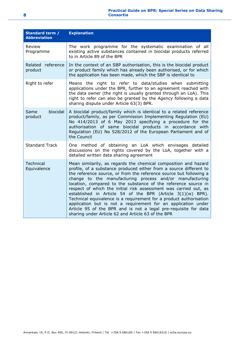#### **Practical Guide on BPR: Special Series on Data Sharing Consortia**

| <b>Standard term /</b><br><b>Abbreviation</b> | <b>Explanation</b>                                                                                                                                                                                                                                                                                                                                                                                                                                                                                                                                                                                                                                                                                                                           |
|-----------------------------------------------|----------------------------------------------------------------------------------------------------------------------------------------------------------------------------------------------------------------------------------------------------------------------------------------------------------------------------------------------------------------------------------------------------------------------------------------------------------------------------------------------------------------------------------------------------------------------------------------------------------------------------------------------------------------------------------------------------------------------------------------------|
| Review<br>Programme                           | The work programme for the systematic examination of all<br>existing active substances contained in biocidal products referred<br>to in Article 89 of the BPR                                                                                                                                                                                                                                                                                                                                                                                                                                                                                                                                                                                |
| Related reference<br>product                  | In the context of an SBP authorisation, this is the biocidal product<br>or product family which has already been authorised, or for which<br>the application has been made, which the SBP is identical to                                                                                                                                                                                                                                                                                                                                                                                                                                                                                                                                    |
| Right to refer                                | Means the right to refer to data/studies when submitting<br>applications under the BPR, further to an agreement reached with<br>the data owner (the right is usually granted through an LoA). This<br>right to refer can also be granted by the Agency following a data<br>sharing dispute under Article 63(3) BPR.                                                                                                                                                                                                                                                                                                                                                                                                                          |
| biocidal<br>Same<br>product                   | A biocidal product/family which is identical to a related reference<br>product/family, as per Commission Implementing Regulation (EU)<br>No 414/2013 of 6 May 2013 specifying a procedure for the<br>authorisation of same biocidal products in accordance with<br>Regulation (EU) No 528/2012 of the European Parliament and of<br>the Council                                                                                                                                                                                                                                                                                                                                                                                              |
| <b>Standard Track</b>                         | One method of obtaining an LoA which envisages detailed<br>discussions on the rights covered by the LoA, together with a<br>detailed written data sharing agreement                                                                                                                                                                                                                                                                                                                                                                                                                                                                                                                                                                          |
| <b>Technical</b><br>Equivalence               | Mean similarity, as regards the chemical composition and hazard<br>profile, of a substance produced either from a source different to<br>the reference source, or from the reference source but following a<br>change to the manufacturing process and/or manufacturing<br>location, compared to the substance of the reference source in<br>respect of which the initial risk assessment was carried out, as<br>established in Article 54 of the BPR (Article 3(1)(w) BPR).<br>Technical equivalence is a requirement for a product authorisation<br>application but is not a requirement for an application under<br>Article 95 of the BPR and is not a legal pre-requisite for data<br>sharing under Article 62 and Article 63 of the BPR |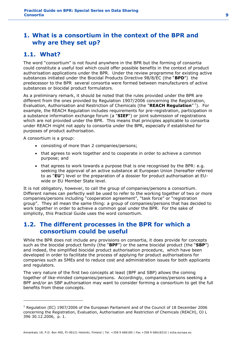### <span id="page-8-0"></span>**1. What is a consortium in the context of the BPR and why are they set up?**

### <span id="page-8-1"></span>**1.1. What?**

The word "consortium" is not found anywhere in the BPR but the forming of consortia could constitute a useful tool which could offer possible benefits in the context of product authorisation applications under the BPR. Under the review programme for existing active substances initiated under the Biocidal Products Directive 98/8/EC (the "**BPD**") the predecessor to the BPR several consortia were formed between manufacturers of active substances or biocidal product formulators.

As a preliminary remark, it should be noted that the rules provided under the BPR are different from the ones provided by Regulation 1907/2006 concerning the Registration, Evaluation, Authorisation and Restriction of Chemicals (the "**REACH Regulation**" 1 ). For example, the REACH Regulation includes requirements for pre-registration, participation in a substance information exchange forum (a "**SIEF**") or joint submission of registrations which are not provided under the BPR. This means that principles applicable to consortia under REACH might not apply to consortia under the BPR, especially if established for purposes of product authorisation.

A consortium is a group:

-

- consisting of more than 2 companies/persons;
- that agrees to work together and to cooperate in order to achieve a common purpose; and
- that agrees to work towards a purpose that is one recognised by the BPR: e.g. seeking the approval of an active substance at European Union (hereafter referred to as "**EU**") level or the preparation of a dossier for product authorisation at EUwide or EU Member State level.

It is not obligatory, however, to call the group of companies/persons a consortium. Different names can perfectly well be used to refer to the working together of two or more companies/persons including "cooperation agreement", "task force" or "registration group". They all mean the same thing: a group of companies/persons that has decided to work together in order to achieve a common goal under the BPR. For the sake of simplicity, this Practical Guide uses the word consortium.

### <span id="page-8-2"></span>**1.2. The different processes in the BPR for which a consortium could be useful**

While the BPR does not include any provisions on consortia, it does provide for concepts such as the biocidal product family (the "**BPF**") or the same biocidal product (the "**SBP**") and indeed, the simplified biocidal product authorisation procedure, which have been developed in order to facilitate the process of applying for product authorisations for companies such as SMEs and to reduce cost and administration issues for both applicants and regulators.

The very nature of the first two concepts at least (BPF and SBP) allows the coming together of like-minded companies/persons. Accordingly, companies/persons seeking a BPF and/or an SBP authorisation may want to consider forming a consortium to get the full benefits from these concepts.

<sup>1</sup> Regulation (EC) 1907/2006 of the European Parliament and of the Council of 18 December 2006 concerning the Registration, Evaluation, Authorisation and Restriction of Chemicals (REACH), OJ L 396 30.12.2006, p. 1.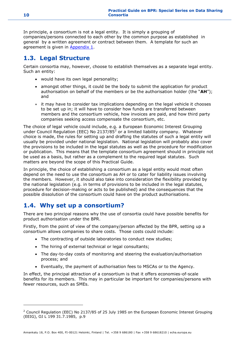In principle, a consortium is not a legal entity. It is simply a grouping of companies/persons connected to each other by the common purpose as established in general by a written agreement or contract between them. A template for such an agreement is given in **Appendix 1.** 

### <span id="page-9-0"></span>**1.3. Legal Structure**

Certain consortia may, however, choose to establish themselves as a separate legal entity. Such an entity:

- would have its own legal personality;
- amongst other things, it could be the body to submit the application for product authorisation on behalf of the members or be the authorisation holder (the "**AH**"); and
- it may have to consider tax implications depending on the legal vehicle it chooses to be set up in; it will have to consider how funds are transferred between members and the consortium vehicle, how invoices are paid, and how third party companies seeking access compensate the consortium, etc.

The choice of legal vehicle could include, e.g. a European Economic Interest Grouping under Council Regulation (EEC) No 2137/85 $^2$  or a limited liability company. Whatever choice is made, the rules for setting up and drafting the statutes of such a legal entity will usually be provided under national legislation. National legislation will probably also cover the provisions to be included in the legal statutes as well as the procedure for modification or publication. This means that the template consortium agreement should in principle not be used as a basis, but rather as a complement to the required legal statutes. Such matters are beyond the scope of this Practical Guide.

In principle, the choice of establishing a consortium as a legal entity would most often depend on the need to use the consortium as AH or to cater for liability issues involving the members. However, it should also take into consideration the flexibility provided by the national legislation (e.g. in terms of provisions to be included in the legal statutes, procedure for decision-making or acts to be published) and the consequences that the possible dissolution of the consortium could have on the product authorisations.

### <span id="page-9-1"></span>**1.4. Why set up a consortium?**

There are two principal reasons why the use of consortia could have possible benefits for product authorisation under the BPR.

Firstly, from the point of view of the company/person affected by the BPR, setting up a consortium allows companies to share costs. Those costs could include:

- The contracting of outside laboratories to conduct new studies;
- The hiring of external technical or legal consultants;
- The day-to-day costs of monitoring and steering the evaluation/authorisation process; and
- Eventually, the payment of authorisation fees to MSCAs or to the Agency.

In effect, the principal attraction of a consortium is that it offers economies-of-scale benefits for its members. This may in particular be important for companies/persons with fewer resources, such as SMEs.

<sup>&</sup>lt;sup>2</sup> Council Regulation (EEC) No 2137/85 of 25 July 1985 on the European Economic Interest Grouping (EEIG), OJ L 199 31.7.1985, p.9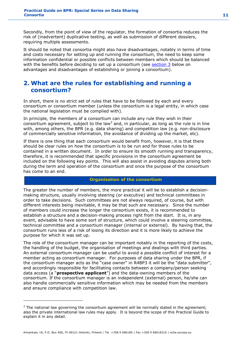Secondly, from the point of view of the regulator, the formation of consortia reduces the risk of (inadvertent) duplicative testing, as well as submission of different dossiers, requiring multiple assessments.

It should be noted that consortia might also have disadvantages, notably in terms of time and costs necessary for setting up and running the consortium, the need to keep some information confidential or possible conflicts between members which should be balanced with the benefits before deciding to set up a consortium (see  $section 3$  below on advantages and disadvantages of establishing or joining a consortium).

### <span id="page-10-0"></span>**2. What are the rules for establishing and running a consortium?**

In short, there is no strict set of rules that have to be followed by each and every consortium or consortium member (unless the consortium is a legal entity, in which case the national legislation must be complied with).

In principle, the members of a consortium can include any rule they wish in their consortium agreement, subject to the law<sup>3</sup> and, in particular, as long as the rule is in line with, among others, the BPR (e.g. data sharing) and competition law (e.g. non-disclosure of commercially sensitive information, the avoidance of dividing up the market, etc).

If there is one thing that each consortium would benefit from, however, it is that there should be clear rules on how the consortium is to be run and for those rules to be contained in a written document. In order to ensure its smooth running and transparency, therefore, it is recommended that specific provisions in the consortium agreement be included on the following key points. This will also assist in avoiding disputes arising both during the term and operation of the consortium and once the purpose of the consortium has come to an end.

#### **Organisation of the consortium**

The greater the number of members, the more practical it will be to establish a decisionmaking structure, usually involving steering (or executive) and technical committees in order to take decisions. Such committees are not always required, of course, but with different interests being inevitable, it may be that such are necessary. Since the number of members could increase the longer the consortium exists, it is recommended to establish a structure and a decision-making process right from the start. It is, in any event, advisable to have some sort of structure, which could involve a steering committee, technical committee and a consortium manager (internal or external). By having that, the consortium runs less of a risk of losing its direction and it is more likely to achieve the purpose for which it was set up.

The role of the consortium manager can be important notably in the reporting of the costs, the handling of the budget, the organisation of meetings and dealings with third parties. An external consortium manager can be useful to avoid a possible conflict of interest for a member acting as consortium manager. For purposes of data sharing under the BPR, if the consortium manager acts as the "case owner" in R4BP3 it will be the "data submitter", and accordingly responsible for facilitating contacts between a company/person seeking data access (a "**prospective applicant**") and the data-owning members of the consortium. If the consortium manager is an independent (external) person, he/she can also handle commercially sensitive information which may be needed from the members and ensure compliance with competition law.

 $3$  The national law governing the consortium agreement will be normally stated in the agreement; also the private international law rules may apply. It is beyond the scope of this Practical Guide to explain it in any detail.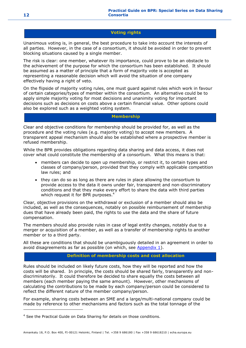#### **Voting rights**

Unanimous voting is, in general, the best procedure to take into account the interests of all parties. However, in the case of a consortium, it should be avoided in order to prevent blocking situations caused by a single member.

The risk is clear: one member, whatever its importance, could prove to be an obstacle to the achievement of the purpose for which the consortium has been established. It should be assumed as a matter of principle that a form of majority vote is accepted as representing a reasonable decision which will avoid the situation of one company effectively having a right of veto.

On the flipside of majority voting rules, one must guard against rules which work in favour of certain categories/types of member within the consortium. An alternative could be to apply simple majority voting for most decisions and unanimity voting for important decisions such as decisions on costs above a certain financial value. Other options could also be explored such as a weighted voting system.

#### **Membership**

Clear and objective conditions for membership should be provided for, as well as the procedure and the voting rules (e.g. majority voting) to accept new members. A transparent appeal mechanism should also be established where a prospective member is refused membership.

While the BPR provides obligations regarding data sharing and data access, it does not cover what could constitute the membership of a consortium. What this means is that:

- members can decide to open up membership, or restrict it, to certain types and classes of company/person, provided that they comply with applicable competition law rules; and
- they can do so as long as there are rules in place allowing the consortium to provide access to the data it owns under fair, transparent and non-discriminatory conditions and that they make every effort to share the data with third parties which request it for BPR purposes.<sup>4</sup>

Clear, objective provisions on the withdrawal or exclusion of a member should also be included, as well as the consequences, notably on possible reimbursement of membership dues that have already been paid, the rights to use the data and the share of future compensation.

The members should also provide rules in case of legal entity changes, notably due to a merger or acquisition of a member, as well as a transfer of membership rights to another member or to a third party.

All these are conditions that should be unambiguously detailed in an agreement in order to avoid disagreements as far as possible (on which, see [Appendix 1\)](https://activity.echa.europa.eu/sites/act-5/process-5-3/docs/01_Biocides/Practical%20Guides/ECHA%20documents/ECHA_PG_Consortia_v2.docx#_Hlk415231687).

#### **Definition of membership costs and cost allocation**

Rules should be included on likely future costs, how they will be reported and how the costs will be shared. In principle, the costs should be shared fairly, transparently and nondiscriminatorily. It could therefore be decided to share equally the costs between all members (each member paying the same amount). However, other mechanisms of calculating the contributions to be made by each company/person could be considered to reflect the different nature of the member company/person.

For example, sharing costs between an SME and a large/multi-national company could be made by reference to other mechanisms and factors such as the total tonnage of the

<sup>&</sup>lt;sup>4</sup> See the Practical Guide on Data Sharing for details on those conditions.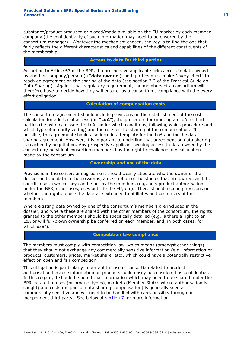substance/product produced or placed/made available on the EU market by each member company (the confidentiality of such information may need to be ensured by the consortium manager). Whatever the mechanism chosen, the key is to find the one that fairly reflects the different characteristics and capabilities of the different constituents of the membership.

#### **Access to data for third parties**

According to Article 63 of the BPR, if a prospective applicant seeks access to data owned by another company/person (a "**data owner**"), both parties must make "every effort" to reach an agreement on the sharing of the data (see section 3.2 of the Practical Guide on Data Sharing). Against that regulatory requirement, the members of a consortium will therefore have to decide how they will ensure, as a consortium, compliance with the every effort obligation.

#### **Calculation of compensation costs**

The consortium agreement should include provisions on the establishment of the cost calculation for a letter of access (an "**LoA**"), the procedure for granting an LoA to third parties (i.e. who can issue the LoA, under which conditions, following which procedure and which type of majority voting) and the rule for the sharing of the compensation. If possible, the agreement should also include a template for the LoA and for the data sharing agreement. However, it is important to underline that agreement on data sharing is reached by negotiation. Any prospective applicant seeking access to data owned by the consortium/individual consortium members has the right to challenge any calculation made by the consortium.

#### **Ownership and use of the data**

Provisions in the consortium agreement should clearly stipulate who the owner of the dossier and the data in the dossier is, a description of the studies that are owned, and the specific use to which they can be put by the members (e.g. only product authorisation under the BPR, other uses, uses outside the EU, etc). There should also be provisions on whether the rights to use the data are extended to affiliates and customers of the members.

Where existing data owned by one of the consortium's members are included in the dossier, and where these are shared with the other members of the consortium, the rights granted to the other members should be specifically detailed (e.g. is there a right to an LoA or will full-blown ownership be conferred on each member, and, in both cases, for which use?).

#### **Competition law compliance**

The members must comply with competition law, which means (amongst other things) that they should not exchange any commercially sensitive information (e.g. information on products, customers, prices, market share, etc), which could have a potentially restrictive effect on open and fair competition.

This obligation is particularly important in case of consortia related to product authorisation because information on products could easily be considered as confidential. In this regard, it should be noted that information which may need to be shared under the BPR, related to uses (or product types), markets (Member States where authorisation is sought) and costs (as part of data sharing compensation) is generally seen as commercially sensitive and will need to be handled with care, possibly through an independent third party. See below at [section 7](https://activity.echa.europa.eu/sites/act-5/process-5-3/docs/01_Biocides/Practical%20Guides/ECHA%20documents/ECHA_PG_Consortia_v2.docx#_Hlk415232179) for more information.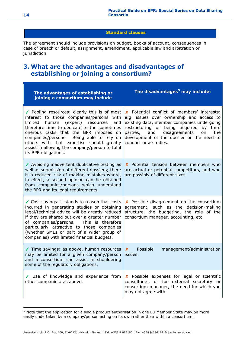#### **Standard clauses**

The agreement should include provisions on budget, books of account, consequences in case of breach or default, assignment, amendment, applicable law and arbitration or jurisdiction.

### <span id="page-13-0"></span>**3. What are the advantages and disadvantages of establishing or joining a consortium?**

| The advantages of establishing or<br>joining a consortium may include                                                                                                                                                                                                                                                                                                                                 | The disadvantages <sup>5</sup> may include:                                                                                                                                                                                                                                                                |
|-------------------------------------------------------------------------------------------------------------------------------------------------------------------------------------------------------------------------------------------------------------------------------------------------------------------------------------------------------------------------------------------------------|------------------------------------------------------------------------------------------------------------------------------------------------------------------------------------------------------------------------------------------------------------------------------------------------------------|
| ✔ Pooling resources: clearly this is of most<br>interest to those companies/persons with<br>(expert) resources<br>limited<br>human<br>and<br>therefore time to dedicate to the sometimes<br>onerous tasks that the BPR imposes on<br>companies/persons. Being able to rely on<br>others with that expertise should greatly<br>assist in allowing the company/person to fulfil<br>its BPR obligations. | X Potential conflict of members' interests:<br>e.g. issues over ownership and access to<br>existing data, member companies undergoing<br>restructuring or being acquired<br>by third<br>parties,<br>disagreements<br>and<br>on<br>the<br>development of the dossier or the need to<br>conduct new studies. |
| ✔ Avoiding inadvertent duplicative testing as<br>well as submission of different dossiers; there<br>is a reduced risk of making mistakes where,<br>in effect, a second opinion can be obtained<br>from companies/persons which understand<br>the BPR and its legal requirements.                                                                                                                      | X Potential tension between members who<br>are actual or potential competitors, and who<br>are possibly of different sizes.                                                                                                                                                                                |
| ✔ Cost savings: it stands to reason that costs<br>incurred in generating studies or obtaining<br>legal/technical advice will be greatly reduced<br>if they are shared out over a greater number<br>of companies/persons. This is therefore<br>particularly attractive to those companies<br>(whether SMEs or part of a wider group of<br>companies) with limited financial budgets.                   | X Possible disagreement on the consortium<br>agreement, such as the decision-making<br>structure, the budgeting, the role of the<br>consortium manager, accounting, etc.                                                                                                                                   |
| √ Time savings: as above, human resources<br>may be limited for a given company/person<br>and a consortium can assist in shouldering<br>some of the regulatory obligations.                                                                                                                                                                                                                           | Possible<br>management/administration<br>$\boldsymbol{\mathsf{x}}$<br>issues.                                                                                                                                                                                                                              |
| Use of knowledge and experience from<br>other companies: as above.                                                                                                                                                                                                                                                                                                                                    | X Possible expenses for legal or scientific<br>consultants, or for external secretary or<br>consortium manager, the need for which you<br>may not agree with.                                                                                                                                              |

<sup>&</sup>lt;sup>5</sup> Note that the application for a single product authorisation in one EU Member State may be more easily undertaken by a company/person acting on its own rather than within a consortium.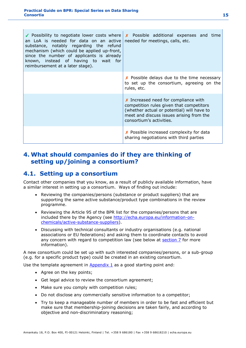| ✔ Possibility to negotiate lower costs where<br>an LoA is needed for data on an active<br>substance, notably regarding the refund<br>mechanism (which could be applied up-front,<br>since the number of applicants is already<br>known, instead of having to wait for<br>reimbursement at a later stage). | <b>X</b> Possible additional expenses and time<br>needed for meetings, calls, etc.                                                                                                                       |
|-----------------------------------------------------------------------------------------------------------------------------------------------------------------------------------------------------------------------------------------------------------------------------------------------------------|----------------------------------------------------------------------------------------------------------------------------------------------------------------------------------------------------------|
|                                                                                                                                                                                                                                                                                                           | $\chi$ Possible delays due to the time necessary<br>to set up the consortium, agreeing on the<br>rules, etc.                                                                                             |
|                                                                                                                                                                                                                                                                                                           | $x$ Increased need for compliance with<br>competition rules given that competitors<br>(whether actual or potential) will have to<br>meet and discuss issues arising from the<br>consortium's activities. |
|                                                                                                                                                                                                                                                                                                           | X Possible increased complexity for data<br>sharing negotiations with third parties                                                                                                                      |

### <span id="page-14-0"></span>**4. What should companies do if they are thinking of setting up/joining a consortium?**

### <span id="page-14-1"></span>**4.1. Setting up a consortium**

Contact other companies that you know, as a result of publicly available information, have a similar interest in setting up a consortium. Ways of finding out include:

- Reviewing the companies/persons (substance or product suppliers) that are supporting the same active substance/product type combinations in the review programme.
- Reviewing the Article 95 of the BPR list for the companies/persons that are included there by the Agency (see [http://echa.europa.eu/information-on](http://echa.europa.eu/information-on-chemicals/active-substance-suppliers)[chemicals/active-substance-suppliers\)](http://echa.europa.eu/information-on-chemicals/active-substance-suppliers).
- Discussing with technical consultants or industry organisations (e.g. national associations or EU federations) and asking them to coordinate contacts to avoid any concern with regard to competition law (see below at [section 7](https://activity.echa.europa.eu/sites/act-5/process-5-3/docs/01_Biocides/Practical%20Guides/ECHA%20documents/ECHA_PG_Consortia_v2.docx#_Hlk415232179) for more information).

A new consortium could be set up with such interested companies/persons, or a sub-group (e.g. for a specific product type) could be created in an existing consortium.

Use the template agreement in  $\Delta p$  and  $\Delta p$  as a good starting point and:

- Agree on the key points;
- Get legal advice to review the consortium agreement;
- Make sure you comply with competition rules;
- Do not disclose any commercially sensitive information to a competitor;
- Try to keep a manageable number of members in order to be fast and efficient but make sure that membership-joining decisions are taken fairly, and according to objective and non-discriminatory reasoning;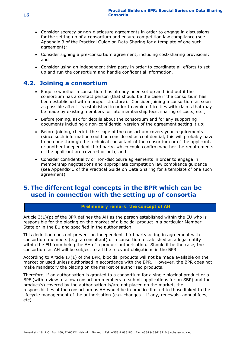- Consider secrecy or non-disclosure agreements in order to engage in discussions for the setting up of a consortium and ensure competition law compliance (see Appendix 3 of the Practical Guide on Data Sharing for a template of one such agreement);
- Consider signing a pre-consortium agreement, including cost-sharing provisions; and
- Consider using an independent third party in order to coordinate all efforts to set up and run the consortium and handle confidential information.

### <span id="page-15-0"></span>**4.2. Joining a consortium**

- Enquire whether a consortium has already been set up and find out if the consortium has a contact person (that should be the case if the consortium has been established with a proper structure). Consider joining a consortium as soon as possible after it is established in order to avoid difficulties with claims that may be made by existing members for late membership fees, sharing of costs, etc.;
- Before joining, ask for details about the consortium and for any supporting documents including a non-confidential version of the agreement setting it up;
- Before joining, check if the scope of the consortium covers your requirements (since such information could be considered as confidential, this will probably have to be done through the technical consultant of the consortium or of the applicant, or another independent third party, which could confirm whether the requirements of the applicant are covered or not); and
- Consider confidentiality or non-disclosure agreements in order to engage in membership negotiations and appropriate competition law compliance guidance (see Appendix 3 of the Practical Guide on Data Sharing for a template of one such agreement).

### <span id="page-15-1"></span>**5. The different legal concepts in the BPR which can be used in connection with the setting up of consortia**

#### **Preliminary remark: the concept of AH**

Article  $3(1)(p)$  of the BPR defines the AH as the person established within the EU who is responsible for the placing on the market of a biocidal product in a particular Member State or in the EU and specified in the authorisation.

This definition does not prevent an independent third party acting in agreement with consortium members (e.g. a consultant) or a consortium established as a legal entity within the EU from being the AH of a product authorisation. Should it be the case, the consortium as AH will be subject to all the relevant obligations in the BPR.

According to Article 17(1) of the BPR, biocidal products will not be made available on the market or used unless authorised in accordance with the BPR. However, the BPR does not make mandatory the placing on the market of authorised products.

Therefore, if an authorisation is granted to a consortium for a single biocidal product or a BPF (with a view to allow consortium members to submit applications for an SBP) and the product(s) covered by the authorisation is/are not placed on the market, the responsibilities of the consortium as AH would be in practice limited to those linked to the lifecycle management of the authorisation (e.g. changes – if any, renewals, annual fees, etc).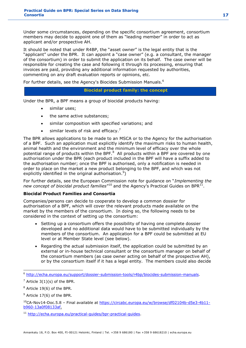Under some circumstances, depending on the specific consortium agreement, consortium members may decide to appoint one of them as "leading member" in order to act as applicant and/or prospective AH.

It should be noted that under R4BP, the "asset owner" is the legal entity that is the "applicant" under the BPR. It can appoint a "case owner" (e.g. a consultant, the manager of the consortium) in order to submit the application on its behalf. The case owner will be responsible for creating the case and following it through its processing, ensuring that invoices are paid, providing any additional information requested by authorities, commenting on any draft evaluation reports or opinions, etc.

For further details, see the Agency's Biocides Submission Manuals.<sup>6</sup>

#### **Biocidal product family: the concept**

Under the BPR, a BPF means a group of biocidal products having:

- similar uses;
- the same active substances;
- similar composition with specified variations; and
- similar levels of risk and efficacy.<sup>7</sup>

The BPR allows applications to be made to an MSCA or to the Agency for the authorisation of a BPF. Such an application must explicitly identify the maximum risks to human health, animal health and the environment and the minimum level of efficacy over the whole potential range of products within the BPF.<sup>8</sup> All products within a BPF are covered by one authorisation under the BPR (each product included in the BPF will have a suffix added to the authorisation number; once the BPF is authorised, only a notification is needed in order to place on the market a new product belonging to the BPF, and which was not explicitly identified in the original authorisation.<sup>9</sup>)

For further details, see the European Commission note for guidance on "*Implementing the*  new concept of biocidal product families"<sup>10</sup> and the Agency's Practical Guides on BPR<sup>11</sup>.

#### **Biocidal Product Families and Consortia**

Companies/persons can decide to cooperate to develop a common dossier for authorisation of a BPF, which will cover the relevant products made available on the market by the members of the consortium. In doing so, the following needs to be considered in the context of setting up the consortium:

- Setting up a consortium offers the possibility of having one complete dossier developed and no additional data would have to be submitted individually by the members of the consortium. An application for a BPF could be submitted at EU level or at Member State level (see below).
- Regarding the actual submission itself, the application could be submitted by an external or in-house technical consultant or the consortium manager on behalf of the consortium members (as case owner acting on behalf of the prospective AH), or by the consortium itself if it has a legal entity. The members could also decide

-

 $9$  Article 17(6) of the BPR.

<sup>6</sup> [http://echa.europa.eu/support/dossier-submission-tools/r4bp/biocides-submission-manuals.](http://echa.europa.eu/support/dossier-submission-tools/r4bp/biocides-submission-manuals)

 $<sup>7</sup>$  Article 3(1)(s) of the BPR.</sup>

<sup>8</sup> Article 19(6) of the BPR.

 $10C-A-Nov14-Doc.5.8$  – Final available at [https://circabc.europa.eu/w/browse/df02104b-d5e3-4b11](https://circabc.europa.eu/w/browse/df02104b-d5e3-4b11-b960-13a0f08133af) [b960-13a0f08133af.](https://circabc.europa.eu/w/browse/df02104b-d5e3-4b11-b960-13a0f08133af)

<sup>11</sup> [http://echa.europa.eu/practical-guides/bpr-practical-guides.](http://echa.europa.eu/practical-guides/bpr-practical-guides)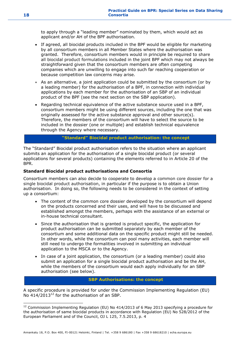to apply through a "leading member" nominated by them, which would act as applicant and/or AH of the BPF authorisation.

- If agreed, all biocidal products included in the BPF would be eligible for marketing by all consortium members in all Member States where the authorisation was granted. Therefore, consortium members would in principle be required to share all biocidal product formulations included in the joint BPF which may not always be straightforward given that the consortium members are often competing companies which are unwilling to engage into such far reaching cooperation or because competition law concerns may arise.
- As an alternative, a joint application could be submitted by the consortium (or by a leading member) for the authorisation of a BPF, in connection with individual applications by each member for the authorisation of an SBP of an individual product of the BPF (see the next section on the SBP application).
- Regarding technical equivalence of the active substance source used in a BPF, consortium members might be using different sources, including the one that was originally assessed for the active substance approval and other source(s). Therefore, the members of the consortium will have to select the source to be included in the dossier (one or multiple) and establish technical equivalence through the Agency where necessary.

**"Standard" Biocidal product authorisation: the concept**

The "Standard" Biocidal product authorisation refers to the situation where an applicant submits an application for the authorisation of a single biocidal product (or several applications for several products) containing the elements referred to in Article 20 of the BPR.

#### **Standard Biocidal product authorisations and Consortia**

Consortium members can also decide to cooperate to develop a common core dossier for a single biocidal product authorisation, in particular if the purpose is to obtain a Union authorisation. In doing so, the following needs to be considered in the context of setting up a consortium:

- The content of the common core dossier developed by the consortium will depend on the products concerned and their uses, and will have to be discussed and established amongst the members, perhaps with the assistance of an external or in-house technical consultant.
- Since the authorisation that is granted is product specific, the application for product authorisation can be submitted separately by each member of the consortium and some additional data on the specific product might still be needed. In other words, while the consortium can pool many activities, each member will still need to undergo the formalities involved in submitting an individual application to the MSCA or to the Agency.
- In case of a joint application, the consortium (or a leading member) could also submit an application for a single biocidal product authorisation and be the AH, while the members of the consortium would each apply individually for an SBP authorisation (see below).

#### **SBP Authorisations: the concept**

A specific procedure is provided for under the Commission Implementing Regulation (EU) No  $414/2013^{12}$  for the authorisation of an SBP.

 $12$  Commission Implementing Regulation (EU) No 414/2013 of 6 May 2013 specifying a procedure for the authorisation of same biocidal products in accordance with Regulation (EU) No 528/2012 of the European Parliament and of the Council, OJ L 125, 7.5.2013, p. 4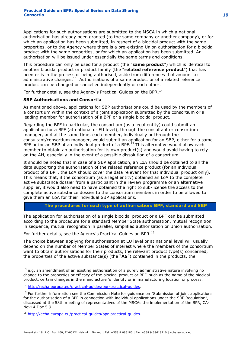Applications for such authorisations are submitted to the MSCA in which a national authorisation has already been granted (to the same company or another company), or for which an application has been submitted, in respect of a biocidal product with the same properties, or to the Agency where there is a pre-existing Union authorisation for a biocidal product with the same properties, or for which an application has been submitted. An authorisation will be issued under essentially the same terms and conditions.

This procedure can only be used for a product (the "**same product**") which is identical to another biocidal product or product family (the "**related reference product**") that has been or is in the process of being authorised, aside from differences that amount to administrative changes.<sup>13</sup> Authorisations of a same product or of a related reference product can be changed or cancelled independently of each other.

For further details, see the Agency's Practical Guides on the BPR.<sup>14</sup>

#### **SBP Authorisations and Consortia**

As mentioned above, applications for SBP authorisations could be used by the members of a consortium within the context of a joint application submitted by the consortium or a leading member for authorisation of a BPF or a single biocidal product.

Regarding the BPF in particular, the consortium (as a legal entity) could submit an application for a BPF (at national or EU level), through the consultant or consortium manager, and at the same time, each member, individually or through the consultant/consortium manager, would submit an application for an SBP, either for a same BPF or for an SBP of an individual product of a BPF.<sup>15</sup> This alternative would allow each member to obtain an authorisation for its own product(s) and would avoid having to rely on the AH, especially in the event of a possible dissolution of a consortium.

It should be noted that in case of a SBP application, an LoA should be obtained to all the data supporting the authorisation of the related reference product (for an individual product of a BPF, the LoA should cover the data relevant for that individual product only). This means that, if the consortium (as a legal entity) obtained an LoA to the complete active substance dossier from a participant in the review programme or an alternative supplier, it would also need to have obtained the right to sub-license the access to the complete active substance dossier to the consortium members in order to be allowed to give them an LoA for their individual SBP applications.

#### **The procedures for each type of authorisation: BPF, standard and SBP**

The application for authorisation of a single biocidal product or a BPF can be submitted according to the procedure for a standard Member State authorisation, mutual recognition in sequence, mutual recognition in parallel, simplified authorisation or Union authorisation.

For further details, see the Agency's Practical Guides on BPR.<sup>16</sup>

The choice between applying for authorisation at EU level or at national level will usually depend on the number of Member States of interest where the members of the consortium want to obtain authorisations for their products, the relevant product type(s) concerned, the properties of the active substance(s) (the "**AS**") contained in the products, the

<sup>-</sup> $13$  e.g. an amendment of an existing authorisation of a purely administrative nature involving no change to the properties or efficacy of the biocidal product or BPF, such as the name of the biocidal product, certain changes in the manufacturer's identity or in manufacturing location or process.

<sup>14</sup> [http://echa.europa.eu/practical-guides/bpr-practical-guides.](http://echa.europa.eu/practical-guides/bpr-practical-guides)

 $15$  For further information see the Commission Note for guidance on "Submission of joint applications for the authorisation of a BPF in connection with individual applications under the SBP Regulation", discussed at the 58th meeting of representatives of the MSCAs the implementation of the BPR, CA-Nov14.Doc.5.9

<sup>16</sup> [http://echa.europa.eu/practical-guides/bpr-practical-guides.](http://echa.europa.eu/practical-guides/bpr-practical-guides)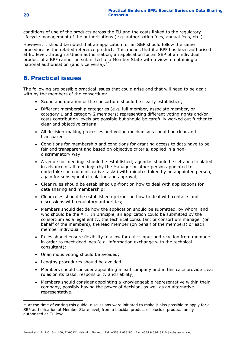conditions of use of the products across the EU and the costs linked to the regulatory lifecycle management of the authorisations (e.g. authorisation fees, annual fees, etc.).

However, it should be noted that an application for an SBP should follow the same procedure as the related reference product. This means that if a BPF has been authorised at EU level, through a Union authorisation, an application for an SBP of an individual product of a BPF cannot be submitted to a Member State with a view to obtaining a national authorisation (and vice versa). $^{17}$ 

### <span id="page-19-0"></span>**6. Practical issues**

The following are possible practical issues that could arise and that will need to be dealt with by the members of the consortium:

- Scope and duration of the consortium should be clearly established;
- Different membership categories (e.g. full member, associate member, or category 1 and category 2 members) representing different voting rights and/or costs contribution levels are possible but should be carefully worked out further to clear and objective criteria;
- All decision-making processes and voting mechanisms should be clear and transparent;
- Conditions for membership and conditions for granting access to data have to be fair and transparent and based on objective criteria, applied in a nondiscriminatory way;
- A venue for meetings should be established; agendas should be set and circulated in advance of all meetings (by the Manager or other person appointed to undertake such administrative tasks) with minutes taken by an appointed person, again for subsequent circulation and approval;
- Clear rules should be established up-front on how to deal with applications for data sharing and membership;
- Clear rules should be established up-front on how to deal with contacts and discussions with regulatory authorities;
- Members should decide how the application should be submitted, by whom, and who should be the AH. In principle, an application could be submitted by the consortium as a legal entity, the technical consultant or consortium manager (on behalf of the members), the lead member (on behalf of the members) or each member individually;
- Rules should ensure flexibility to allow for quick input and reaction from members in order to meet deadlines (e.g. information exchange with the technical consultant);
- Unanimous voting should be avoided;
- Lengthy procedures should be avoided;
- Members should consider appointing a lead company and in this case provide clear rules on its tasks, responsibility and liability;
- Members should consider appointing a knowledgeable representative within their company, possibly having the power of decision, as well as an alternative representative;

 $17$  At the time of writing this guide, discussions were initiated to make it also possible to apply for a SBP authorisation at Member State level, from a biocidal product or biocidal product family authorised at EU level.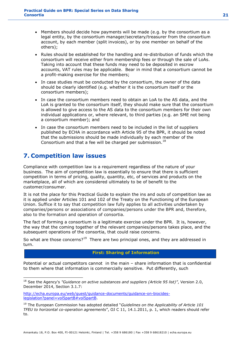- Members should decide how payments will be made (e.g. by the consortium as a legal entity, by the consortium manager/secretary/treasurer from the consortium account, by each member (split invoices), or by one member on behalf of the others);
- Rules should be established for the handling and re-distribution of funds which the consortium will receive either from membership fees or through the sale of LoAs. Taking into account that these funds may need to be deposited in escrow accounts, VAT rules may be applicable. Bear in mind that a consortium cannot be a profit-making exercise for the members;
- In case studies must be conducted by the consortium, the owner of the data should be clearly identified (e.g. whether it is the consortium itself or the consortium members);
- In case the consortium members need to obtain an LoA to the AS data, and the LoA is granted to the consortium itself, they should make sure that the consortium is allowed to give access to the AS data to the consortium members for their own individual applications or, where relevant, to third parties (e.g. an SME not being a consortium member); and
- In case the consortium members need to be included in the list of suppliers published by ECHA in accordance with Article 95 of the BPR, it should be noted that the submissions should be made individually by each member of the Consortium and that a fee will be charged per submission. $^{18}$

### <span id="page-20-0"></span>**7. Competition law issues**

-

Compliance with competition law is a requirement regardless of the nature of your business. The aim of competition law is essentially to ensure that there is sufficient competition in terms of pricing, quality, quantity, etc, of services and products on the marketplace, all of which are considered ultimately to be of benefit to the customer/consumer.

It is not the place for this Practical Guide to explain the ins and outs of competition law as it is applied under Articles 101 and 102 of the Treaty on the Functioning of the European Union. Suffice it to say that competition law fully applies to all activities undertaken by companies/persons or associations of companies/persons under the BPR and, therefore, also to the formation and operation of consortia.

The fact of forming a consortium is a legitimate exercise under the BPR. It is, however, the way that the coming together of the relevant companies/persons takes place, and the subsequent operations of the consortia, that could raise concerns.

So what are those concerns?<sup>19</sup> There are two principal ones, and they are addressed in turn.

#### **First: Sharing of Information**

Potential or actual competitors cannot in the main – share information that is confidential to them where that information is commercially sensitive. Put differently, such

<sup>18</sup> See the Agency's *"Guidance on active substances and suppliers (Article 95 list)"*, Version 2.0, December 2014, Section 3.1.7:

[http://echa.europa.eu/web/guest/guidance-documents/guidance-on-biocides](http://echa.europa.eu/web/guest/guidance-documents/guidance-on-biocides-legislation?panel=vol5partB#vol5partB)[legislation?panel=vol5partB#vol5partB.](http://echa.europa.eu/web/guest/guidance-documents/guidance-on-biocides-legislation?panel=vol5partB#vol5partB)

<sup>19</sup> The European Commission has adopted detailed "*Guidelines on the Applicability of Article 101 TFEU to horizontal co-operation agreements*", OJ C 11, 14.1.2011, p. 1, which readers should refer to.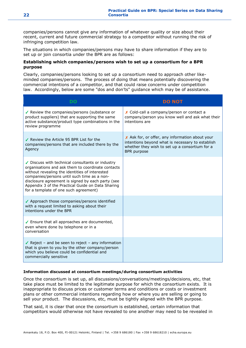companies/persons cannot give any information of whatever quality or size about their recent, current and future commercial strategy to a competitor without running the risk of infringing competition law.

The situations in which companies/persons may have to share information if they are to set up or join consortia under the BPR are as follows:

#### **Establishing which companies/persons wish to set up a consortium for a BPR purpose**

Clearly, companies/persons looking to set up a consortium need to approach other likeminded companies/persons. The process of doing that means potentially discovering the commercial intentions of a competitor, and that could raise concerns under competition law. Accordingly, below are some "dos and don'ts" guidance which may be of assistance.

| DO                                                                                                                                                                                                                                                                                                                                                        | <b>DO NOT</b>                                                                                                                                                               |
|-----------------------------------------------------------------------------------------------------------------------------------------------------------------------------------------------------------------------------------------------------------------------------------------------------------------------------------------------------------|-----------------------------------------------------------------------------------------------------------------------------------------------------------------------------|
| Review the companies/persons (substance or<br>product suppliers) that are supporting the same<br>active substance/product type combinations in the<br>review programme                                                                                                                                                                                    | X Cold-call a company/person or contact a<br>company/person you know well and ask what their<br>intentions are                                                              |
| ✔ Review the Article 95 BPR List for the<br>companies/persons that are included there by the<br>Agency                                                                                                                                                                                                                                                    | X Ask for, or offer, any information about your<br>intentions beyond what is necessary to establish<br>whether they wish to set up a consortium for a<br><b>BPR</b> purpose |
| ✔ Discuss with technical consultants or industry<br>organisations and ask them to coordinate contacts<br>without revealing the identities of interested<br>companies/persons until such time as a non-<br>disclosure agreement is signed by each party (see<br>Appendix 3 of the Practical Guide on Data Sharing<br>for a template of one such agreement) |                                                                                                                                                                             |
| ✔ Approach those companies/persons identified<br>with a request limited to asking about their<br>intentions under the BPR                                                                                                                                                                                                                                 |                                                                                                                                                                             |
| ✔ Ensure that all approaches are documented,<br>even where done by telephone or in a<br>conversation                                                                                                                                                                                                                                                      |                                                                                                                                                                             |
| Reject - and be seen to reject - any information<br>that is given to you by the other company/person<br>which you believe could be confidential and<br>commercially sensitive                                                                                                                                                                             |                                                                                                                                                                             |

#### **Information discussed at consortium meetings/during consortium activities**

Once the consortium is set up, all discussions/conversations/meetings/decisions, etc, that take place must be limited to the legitimate purpose for which the consortium exists. It is inappropriate to discuss prices or customer terms and conditions or costs or investment plans or other commercial intentions regarding how or where you are selling or going to sell your product. The discussions, etc, must be tightly aligned with the BPR purpose.

That said, it is clear that once the consortium is established, certain information that competitors would otherwise not have revealed to one another may need to be revealed in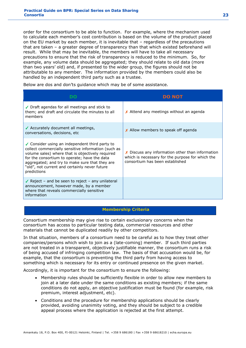order for the consortium to be able to function. For example, where the mechanism used to calculate each member's cost contribution is based on the volume of the product placed on the EU market by each member, it is inevitable that – regardless of the precautions that are taken – a greater degree of transparency than that which existed beforehand will result. While that may be inevitable, the members will have to take all necessary precautions to ensure that the risk of transparency is reduced to the minimum. So, for example, any volume data should be aggregated; they should relate to old data (more than two years' old) and, if presented to the wider group, the figures should not be attributable to any member. The information provided by the members could also be handled by an independent third party such as a trustee.

Below are dos and don'ts guidance which may be of some assistance.

|                                                                                                                                                                                                                                                                                                                             | <b>DO NOT</b>                                                                                                                                |
|-----------------------------------------------------------------------------------------------------------------------------------------------------------------------------------------------------------------------------------------------------------------------------------------------------------------------------|----------------------------------------------------------------------------------------------------------------------------------------------|
| ✔ Draft agendas for all meetings and stick to<br>them; and draft and circulate the minutes to all<br>members                                                                                                                                                                                                                | X Attend any meetings without an agenda                                                                                                      |
| ✔ Accurately document all meetings,<br>conversations, decisions, etc                                                                                                                                                                                                                                                        | X Allow members to speak off agenda                                                                                                          |
| ✔ Consider using an independent third party to<br>collect commercially sensitive information (such as<br>volume sales) where that is objectively required<br>for the consortium to operate; have the data<br>aggregated; and try to make sure that they are<br>"old", not current and certainly never future<br>predictions | $\chi$ Discuss any information other than information<br>which is necessary for the purpose for which the<br>consortium has been established |
| Reject – and be seen to reject – any unilateral<br>announcement, however made, by a member<br>where that reveals commercially sensitive<br>information                                                                                                                                                                      |                                                                                                                                              |

#### **Membership Criteria**

Consortium membership may give rise to certain exclusionary concerns when the consortium has access to particular testing data, commercial resources and other materials that cannot be duplicated readily by other competitors.

In that situation, members of a consortium need to be careful as to how they treat other companies/persons which wish to join as a (late-coming) member. If such third parties are not treated in a transparent, objectively justifiable manner, the consortium runs a risk of being accused of infringing competition law. The basis of that accusation would be, for example, that the consortium is preventing the third party from having access to something which is necessary for its entry or continued presence on the given market.

Accordingly, it is important for the consortium to ensure the following:

- Membership rules should be sufficiently flexible in order to allow new members to join at a later date under the same conditions as existing members; if the same conditions do not apply, an objective justification must be found (for example, risk premium, interest adjustment, etc).
- Conditions and the procedure for membership applications should be clearly provided, avoiding unanimity voting, and they should be subject to a credible appeal process where the application is rejected at the first attempt.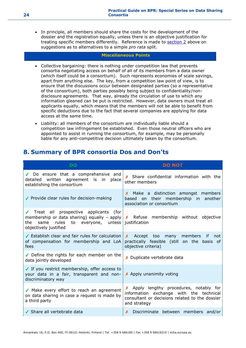In principle, all members should share the costs for the development of the dossier and the registration equally, unless there is an objective justification for treating specific members differently. Reference is made to [section 2](https://activity.echa.europa.eu/sites/act-5/process-5-3/docs/01_Biocides/Practical%20Guides/ECHA%20documents/ECHA_PG_Consortia_v2.docx#_Hlk415232286) above on suggestions as to alternatives to a simple *pro rata* split.

#### **Miscellaneous Points**

- Collective bargaining: there is nothing under competition law that prevents consortia negotiating access on behalf of all of its members from a data owner (which itself could be a consortium). Such represents economies of scale savings, apart from anything else. The key, from a competition law point of view, is to ensure that the discussions occur between designated parties (so a representative of the consortium), both parties possibly being subject to confidentiality/nondisclosure agreements. That way, already the circulation of use to which any information gleaned can be put is restricted. However, data owners must treat all applicants equally, which means that the members will not be able to benefit from specific deductions due to the fact that several companies are applying for data access at the same time.
- Liability: all members of the consortium are individually liable should a competition law infringement be established. Even those neutral officers who are appointed to assist in running the consortium, for example, may be personally liable for any anti-competitive decision ultimately taken by the consortium.

### <span id="page-23-0"></span>**8. Summary of BPR consortia Dos and Don'ts**

| <b>DO</b>                                                                                                                        | <b>DO NOT</b>                                                                                                                                        |
|----------------------------------------------------------------------------------------------------------------------------------|------------------------------------------------------------------------------------------------------------------------------------------------------|
| ◆ Do ensure that a comprehensive and<br>detailed written agreement is in place<br>establishing the consortium                    | $x$ Share confidential information with the<br>other members                                                                                         |
| ✔ Provide clear rules for decision-making                                                                                        | X Make a distinction amongst members<br>on their membership in another<br>based<br>association or consortium                                         |
| √ Treat all prospective applicants (for<br>rules<br>to<br>everyone, unless justification<br>the<br>same<br>objectively justified | membership or data sharing) equally – apply $\vert x \vert$ Refuse membership without objective                                                      |
| ✔ Establish clear and fair rules for calculation<br>of compensation for membership and LoA<br>fees                               | Accept too many<br>members<br>-if<br>$\mathsf{X}$<br>not<br>practically feasible (still on the basis of<br>objective criteria)                       |
| Define the rights for each member on the<br>data jointly developed                                                               | X Duplicate vertebrate data                                                                                                                          |
| ✔ If you restrict membership, offer access to<br>your data in a fair, transparent and non-<br>discriminatory way                 | X Apply unanimity voting                                                                                                                             |
| ✔ Make every effort to reach an agreement<br>on data sharing in case a request is made by<br>a third party                       | X Apply lengthy procedures, notably for<br>information exchange with the technical<br>consultant or decisions related to the dossier<br>and strategy |
| ✔ Share all vertebrate data                                                                                                      | Discriminate between members and/or                                                                                                                  |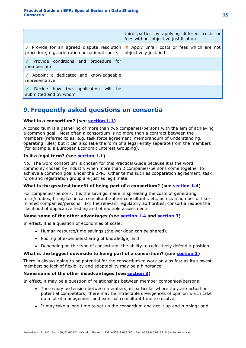|                                                                                              | third parties by applying different costs or<br>fees without objective justification |
|----------------------------------------------------------------------------------------------|--------------------------------------------------------------------------------------|
| ✔ Provide for an agreed dispute resolution<br>procedure, e.g. arbitration or national courts | X Apply unfair costs or fees which are not<br>objectively justified                  |
| ✔ Provide conditions and procedure for<br>membership                                         |                                                                                      |
| ✔ Appoint a dedicated and knowledgeable<br>representative                                    |                                                                                      |
| Decide how the application will be<br>submitted and by whom                                  |                                                                                      |

### <span id="page-24-0"></span>**9. Frequently asked questions on consortia**

#### **What is a consortium? (see [section 1.1\)](https://activity.echa.europa.eu/sites/act-5/process-5-3/docs/01_Biocides/Practical%20Guides/ECHA%20documents/ECHA_PG_Consortia_v2.docx#_Hlk415232664)**

A consortium is a gathering of more than two companies/persons with the aim of achieving a common goal. Most often a consortium is no more than a contract between the members (referred to as, e.g. task force agreement, memorandum of understanding, operating rules) but it can also take the form of a legal entity separate from the members (for example, a European Economic Interest Grouping).

#### **Is it a legal term? (see [section 1.1\)](https://activity.echa.europa.eu/sites/act-5/process-5-3/docs/01_Biocides/Practical%20Guides/ECHA%20documents/ECHA_PG_Consortia_v2.docx#_Hlk415232664)**

No. The word consortium is chosen for this Practical Guide because it is the word commonly chosen by industry when more than 2 companies/persons come together to achieve a common goal under the BPR. Other terms such as cooperation agreement, task force and registration group are just as legitimate.

#### **What is the greatest benefit of being part of a consortium? (see [section 1.4\)](https://activity.echa.europa.eu/sites/act-5/process-5-3/docs/01_Biocides/Practical%20Guides/ECHA%20documents/ECHA_PG_Consortia_v2.docx#OLE_LINK1)**

For companies/persons, it is the savings made in spreading the costs of generating tests/studies, hiring technical consultants/other consultants, etc, across a number of likeminded companies/persons. For the relevant regulatory authorities, consortia reduce the likelihood of duplicative testing and of multiple assessments.

#### **Name some of the other advantages (see [section 1.4](https://activity.echa.europa.eu/sites/act-5/process-5-3/docs/01_Biocides/Practical%20Guides/ECHA%20documents/ECHA_PG_Consortia_v2.docx#OLE_LINK1) and [section 3\)](https://activity.echa.europa.eu/sites/act-5/process-5-3/docs/01_Biocides/Practical%20Guides/ECHA%20documents/ECHA_PG_Consortia_v2.docx#_Hlk415232910)**

In effect, it is a question of economies of scale:

- Human resource/time savings (the workload can be shared);
- Pooling of expertise/sharing of knowledge; and
- Depending on the type of consortium, the ability to collectively defend a position.

#### **What is the biggest downside to being part of a consortium? (see [section 3\)](https://activity.echa.europa.eu/sites/act-5/process-5-3/docs/01_Biocides/Practical%20Guides/ECHA%20documents/ECHA_PG_Consortia_v2.docx#_Hlk415232910)**

There is always going to be potential for the consortium to work only as fast as its slowest member; so lack of flexibility and adaptability may be a hindrance.

#### **Name some of the other disadvantages (see [section 3\)](https://activity.echa.europa.eu/sites/act-5/process-5-3/docs/01_Biocides/Practical%20Guides/ECHA%20documents/ECHA_PG_Consortia_v2.docx#_Hlk415232910)**

In effect, it may be a question of relationships between member companies/persons:

- There may be tension between members, in particular where they are actual or potential competitors; there may be intractable divergences of opinion which take up a lot of management and external consultant time to resolve;
- It may take a long time to set up the consortium and get it up and running; and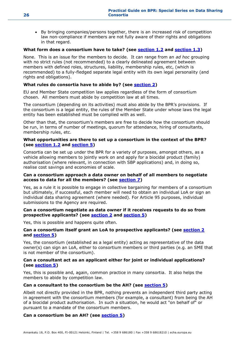• By bringing companies/persons together, there is an increased risk of competition law non-compliance if members are not fully aware of their rights and obligations in that regard.

#### **What form does a consortium have to take? (see [section 1.2](https://activity.echa.europa.eu/sites/act-5/process-5-3/docs/01_Biocides/Practical%20Guides/ECHA%20documents/ECHA_PG_Consortia_v2.docx#_Hlk415233047) and [section 1.3\)](https://activity.echa.europa.eu/sites/act-5/process-5-3/docs/01_Biocides/Practical%20Guides/ECHA%20documents/ECHA_PG_Consortia_v2.docx#_Hlk415233120)**

None. This is an issue for the members to decide. It can range from an *ad hoc* grouping with no strict rules (not recommended) to a clearly delineated agreement between members with defined roles, structures, liability, membership rules, etc, (which is recommended) to a fully-fledged separate legal entity with its own legal personality (and rights and obligations).

#### **What rules do consortia have to abide by? (see [section 2\)](https://activity.echa.europa.eu/sites/act-5/process-5-3/docs/01_Biocides/Practical%20Guides/ECHA%20documents/ECHA_PG_Consortia_v2.docx#_Hlk415233182)**

EU and Member State competition law applies regardless of the form of consortium chosen. All members must abide by competition law at all times.

The consortium (depending on its activities) must also abide by the BPR's provisions. If the consortium is a legal entity, the rules of the Member State under whose laws the legal entity has been established must be complied with as well.

Other than that, the consortium's members are free to decide how the consortium should be run, in terms of number of meetings, quorum for attendance, hiring of consultants, membership rules, etc.

#### **What opportunities are there to set up a consortium in the context of the BPR? (see [section 1.2](https://activity.echa.europa.eu/sites/act-5/process-5-3/docs/01_Biocides/Practical%20Guides/ECHA%20documents/ECHA_PG_Consortia_v2.docx#_Hlk415233047) and [section](https://activity.echa.europa.eu/sites/act-5/process-5-3/docs/01_Biocides/Practical%20Guides/ECHA%20documents/ECHA_PG_Consortia_v2.docx#_Hlk415233289) 5)**

Consortia can be set up under the BPR for a variety of purposes, amongst others, as a vehicle allowing members to jointly work on and apply for a biocidal product (family) authorisation (where relevant, in connection with SBP applications) and, in doing so, realise cost savings and economies of scale.

#### **Can a consortium approach a data owner on behalf of all members to negotiate access to data for all the members? (see [section 7\)](https://activity.echa.europa.eu/sites/act-5/process-5-3/docs/01_Biocides/Practical%20Guides/ECHA%20documents/ECHA_PG_Consortia_v2.docx#_Hlk415232179)**

Yes, as a rule it is possible to engage in collective bargaining for members of a consortium but ultimately, if successful, each member will need to obtain an individual LoA or sign an individual data sharing agreement (where needed). For Article 95 purposes, individual submissions to the Agency are required.

#### **Can a consortium negotiate as data owner if it receives requests to do so from prospective applicants? (see [section 2](https://activity.echa.europa.eu/sites/act-5/process-5-3/docs/01_Biocides/Practical%20Guides/ECHA%20documents/ECHA_PG_Consortia_v2.docx#_Hlk415233182) and [section 5\)](https://activity.echa.europa.eu/sites/act-5/process-5-3/docs/01_Biocides/Practical%20Guides/ECHA%20documents/ECHA_PG_Consortia_v2.docx#_Hlk415233289)**

Yes, this is possible and happens quite often.

#### **Can a consortium itself grant an LoA to prospective applicants? (see [section 2](https://activity.echa.europa.eu/sites/act-5/process-5-3/docs/01_Biocides/Practical%20Guides/ECHA%20documents/ECHA_PG_Consortia_v2.docx#_Hlk415233182) and [section 5\)](https://activity.echa.europa.eu/sites/act-5/process-5-3/docs/01_Biocides/Practical%20Guides/ECHA%20documents/ECHA_PG_Consortia_v2.docx#_Hlk415233289)**

Yes, the consortium (established as a legal entity) acting as representative of the data owner(s) can sign an LoA, either to consortium members or third parties (e.g. an SME that is not member of the consortium).

#### **Can a consultant act as an applicant either for joint or individual applications? (see [section 5\)](https://activity.echa.europa.eu/sites/act-5/process-5-3/docs/01_Biocides/Practical%20Guides/ECHA%20documents/ECHA_PG_Consortia_v2.docx#_Hlk415233289)**

Yes, this is possible and, again, common practice in many consortia. It also helps the members to abide by competition law.

#### **Can a consultant to the consortium be the AH? (see [section 5\)](https://activity.echa.europa.eu/sites/act-5/process-5-3/docs/01_Biocides/Practical%20Guides/ECHA%20documents/ECHA_PG_Consortia_v2.docx#_Hlk415233289)**

Albeit not directly provided in the BPR, nothing prevents an independent third party acting in agreement with the consortium members (for example, a consultant) from being the AH of a biocidal product authorisation. In such a situation, he would act "on behalf of" or pursuant to a mandate of the consortium members.

#### **Can a consortium be an AH? (see [section 5\)](https://activity.echa.europa.eu/sites/act-5/process-5-3/docs/01_Biocides/Practical%20Guides/ECHA%20documents/ECHA_PG_Consortia_v2.docx#_Hlk415233289)**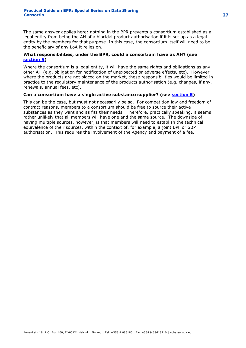The same answer applies here: nothing in the BPR prevents a consortium established as a legal entity from being the AH of a biocidal product authorisation if it is set up as a legal entity by the members for that purpose. In this case, the consortium itself will need to be the beneficiary of any LoA it relies on.

#### **What responsibilities, under the BPR, could a consortium have as AH? (see [section 5\)](https://activity.echa.europa.eu/sites/act-5/process-5-3/docs/01_Biocides/Practical%20Guides/ECHA%20documents/ECHA_PG_Consortia_v2.docx#_Hlk415233289)**

Where the consortium is a legal entity, it will have the same rights and obligations as any other AH (e.g. obligation for notification of unexpected or adverse effects, etc). However, where the products are not placed on the market, these responsibilities would be limited in practice to the regulatory maintenance of the products authorisation (e.g. changes, if any, renewals, annual fees, etc).

#### **Can a consortium have a single active substance supplier? (see [section 5\)](https://activity.echa.europa.eu/sites/act-5/process-5-3/docs/01_Biocides/Practical%20Guides/ECHA%20documents/ECHA_PG_Consortia_v2.docx#_Hlk415233289)**

This can be the case, but must not necessarily be so. For competition law and freedom of contract reasons, members to a consortium should be free to source their active substances as they want and as fits their needs. Therefore, practically speaking, it seems rather unlikely that all members will have one and the same source. The downside of having multiple sources, however, is that members will need to establish the technical equivalence of their sources, within the context of, for example, a joint BPF or SBP authorisation. This requires the involvement of the Agency and payment of a fee.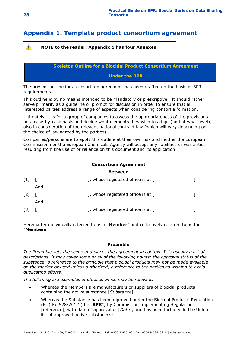### <span id="page-27-0"></span>**Appendix 1. Template product consortium agreement**

**NOTE to the reader: Appendix 1 has four Annexes.**

**Skeleton Outline for a Biocidal Product Consortium Agreement**

**Under the BPR**

The present outline for a consortium agreement has been drafted on the basis of BPR requirements.

This outline is by no means intended to be mandatory or prescriptive. It should rather serve primarily as a guideline or prompt for discussion in order to ensure that all interested parties address a range of aspects when considering consortia formation.

Ultimately, it is for a group of companies to assess the appropriateness of the provisions on a case-by-case basis and decide what elements they wish to adopt (and at what level), also in consideration of the relevant national contract law (which will vary depending on the choice of law agreed by the parties).

Companies/persons are to apply this outline at their own risk and neither the European Commission nor the European Chemicals Agency will accept any liabilities or warranties resulting from the use of or reliance on this document and its application.

#### **Consortium Agreement**

#### **Between**

| (1) |     | ], whose registered office is at [ |  |
|-----|-----|------------------------------------|--|
|     | And |                                    |  |
| (2) |     | ], whose registered office is at [ |  |
|     | And |                                    |  |
| (3) |     | ], whose registered office is at [ |  |

Hereinafter individually referred to as a "**Member**" and collectively referred to as the "**Members**".

#### **Preamble**

*The Preamble sets the scene and places the agreement in context. It is usually a list of descriptions. It may cover some or all of the following points: the approval status of the substance; a reference to the principle that biocidal products may not be made available on the market or used unless authorized; a reference to the parties as wishing to avoid duplicating efforts.* 

*The following are examples of phrases which may be relevant:*

- Whereas the Members are manufacturers or suppliers of biocidal products containing the active substance [*Substance*];
- Whereas the Substance has been approved under the Biocidal Products Regulation (EU) No 528/2012 (the "**BPR**") by Commission Implementing Regulation [reference], with date of approval of [*Date*], and has been included in the Union list of approved active substances;

Δ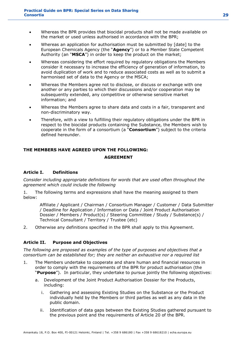- Whereas the BPR provides that biocidal products shall not be made available on the market or used unless authorised in accordance with the BPR;
- Whereas an application for authorisation must be submitted by [date] to the European Chemicals Agency (the "**Agency**") or to a Member State Competent Authority (an "**MSCA**") in order to keep the product on the market;
- Whereas considering the effort required by regulatory obligations the Members consider it necessary to increase the efficiency of generation of information, to avoid duplication of work and to reduce associated costs as well as to submit a harmonised set of data to the Agency or the MSCA;
- Whereas the Members agree not to disclose, or discuss or exchange with one another or any parties to which their discussions and/or cooperation may be subsequently extended, any competitive or otherwise sensitive market information; and
- Whereas the Members agree to share data and costs in a fair, transparent and non-discriminatory way.
- Therefore, with a view to fulfilling their regulatory obligations under the BPR in respect to the biocidal products containing the Substance, the Members wish to cooperate in the form of a consortium (a "**Consortium**") subject to the criteria defined hereunder.

#### **THE MEMBERS HAVE AGREED UPON THE FOLLOWING:**

#### **AGREEMENT**

#### **Article I. Definitions**

*Consider including appropriate definitions for words that are used often throughout the agreement which could include the following*

1. The following terms and expressions shall have the meaning assigned to them below:

Affiliate / Applicant / Chairman / Consortium Manager / Customer / Data Submitter / Deadline for Application / Information or Data / Joint Product Authorisation Dossier / Members / Product(s) / Steering Committee / Study / Substance(s) / Technical Consultant / Territory / Trustee (etc)

2. Otherwise any definitions specified in the BPR shall apply to this Agreement.

#### **Article II. Purpose and Objectives**

*The following are proposed as examples of the type of purposes and objectives that a consortium can be established for; they are neither an exhaustive nor a required list*

- 1. The Members undertake to cooperate and share human and financial resources in order to comply with the requirements of the BPR for product authorisation (the "**Purpose**"). In particular, they undertake to pursue jointly the following objectives:
	- a. Development of the Joint Product Authorisation Dossier for the Products, including:
		- i. Gathering and assessing Existing Studies on the Substance or the Product individually held by the Members or third parties as well as any data in the public domain.
		- ii. Identification of data gaps between the Existing Studies gathered pursuant to the previous point and the requirements of Article 20 of the BPR.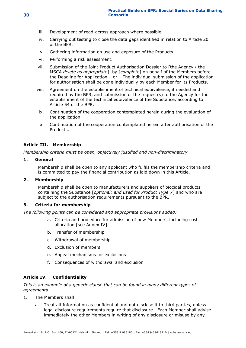- iii. Development of read-across approach where possible.
- iv. Carrying out testing to close the data gaps identified in relation to Article 20 of the BPR.
- v. Gathering information on use and exposure of the Products.
- vi. Performing a risk assessment.
- vii. Submission of the Joint Product Authorisation Dossier to [the Agency / the MSCA *delete as appropriate*] by [*complete*] on behalf of the Members before the Deadline for Application – or – The individual submission of the application for authorisation shall be done individually by each Member for its Products.
- viii. Agreement on the establishment of technical equivalence, if needed and required by the BPR, and submission of the request(s) to the Agency for the establishment of the technical equivalence of the Substance, according to Article 54 of the BPR.
- ix. Continuation of the cooperation contemplated herein during the evaluation of the application.
- x. Continuation of the cooperation contemplated herein after authorisation of the Products.

#### **Article III. Membership**

*Membership criteria must be open, objectively justified and non-discriminatory*

#### **1. General**

Membership shall be open to any applicant who fulfils the membership criteria and is committed to pay the financial contribution as laid down in this Article.

#### **2. Membership**

Membership shall be open to manufacturers and suppliers of biocidal products containing the Substance [*optional: and used for Product Type X*] and who are subject to the authorisation requirements pursuant to the BPR.

#### **3. Criteria for membership**

*The following points can be considered and appropriate provisions added:*

- a. Criteria and procedure for admission of new Members, including cost allocation [see Annex IV]
- b. Transfer of membership
- c. Withdrawal of membership
- d. Exclusion of members
- e. Appeal mechanisms for exclusions
- f. Consequences of withdrawal and exclusion

#### **Article IV. Confidentiality**

*This is an example of a generic clause that can be found in many different types of agreements*

- 1. The Members shall:
	- a. Treat all Information as confidential and not disclose it to third parties, unless legal disclosure requirements require that disclosure. Each Member shall advise immediately the other Members in writing of any disclosure or misuse by any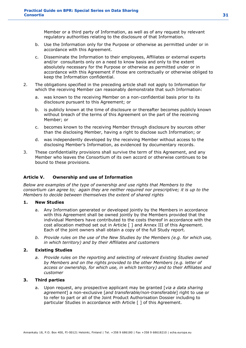Member or a third party of Information, as well as of any request by relevant regulatory authorities relating to the disclosure of that Information.

- b. Use the Information only for the Purpose or otherwise as permitted under or in accordance with this Agreement.
- c. Disseminate the Information to their employees, Affiliates or external experts and/or consultants only on a need to know basis and only to the extent absolutely necessary for the Purpose or otherwise as permitted under or in accordance with this Agreement if those are contractually or otherwise obliged to keep the Information confidential.
- 2. The obligations specified in the preceding article shall not apply to Information for which the receiving Member can reasonably demonstrate that such Information:
	- a. was known to the receiving Member on a non-confidential basis prior to its disclosure pursuant to this Agreement; or
	- b. is publicly known at the time of disclosure or thereafter becomes publicly known without breach of the terms of this Agreement on the part of the receiving Member; or
	- c. becomes known to the receiving Member through disclosure by sources other than the disclosing Member, having a right to disclose such Information; or
	- d. was independently developed by the receiving Member without access to the disclosing Member's Information, as evidenced by documentary records.
- 3. These confidentiality provisions shall survive the term of this Agreement, and any Member who leaves the Consortium of its own accord or otherwise continues to be bound to these provisions.

#### **Article V. Ownership and use of Information**

*Below are examples of the type of ownership and use rights that Members to the consortium can agree to; again they are neither required nor prescriptive; it is up to the Members to decide between themselves the extent of shared rights*

#### **1. New Studies**

- a. Any Information generated or developed jointly by the Members in accordance with this Agreement shall be owned jointly by the Members provided that the individual Members have contributed to the costs thereof in accordance with the cost allocation method set out in Article [ ] and Annex III of this Agreement. Each of the joint owners shall obtain a copy of the full Study report.
- *b. Provide rules on the use of the New Studies by the Members (e.g. for which use, in which territory) and by their Affiliates and customers*

#### **2. Existing Studies**

*a. Provide rules on the reporting and selecting of relevant Existing Studies owned by Members and on the rights provided to the other Members (e.g. letter of access or ownership, for which use, in which territory) and to their Affiliates and customer*

#### **3. Third parties**

a. Upon request, any prospective applicant may be granted [*via a data sharing agreement*] a non-exclusive [*and transferable/non-transferable*] right to use or to refer to part or all of the Joint Product Authorisation Dossier including to particular Studies in accordance with Article [ ] of this Agreement.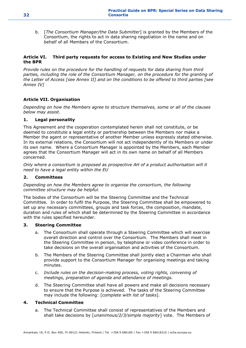b. [*The Consortium Manager/the Data Submitter*] is granted by the Members of the Consortium, the rights to act in data sharing negotiation in the name and on behalf of all Members of the Consortium.

#### **Article VI. Third party requests for access to Existing and New Studies under the BPR**

*Provide rules on the procedure for the handling of requests for data sharing from third parties, including the role of the Consortium Manager, on the procedure for the granting of the Letter of Access [see Annex II] and on the conditions to be offered to third parties [see Annex IV]*

#### **Article VII. Organisation**

*Depending on how the Members agree to structure themselves, some or all of the clauses below may assist.*

#### **1. Legal personality**

This Agreement and the cooperation contemplated herein shall not constitute, or be deemed to constitute a legal entity or partnership between the Members nor make a Member the agent or representative of another Member unless expressly stated otherwise. In its external relations, the Consortium will not act independently of its Members or under its own name. Where a Consortium Manager is appointed by the Members, each Member agrees that the Consortium Manager will act in its own name on behalf of all Members concerned.

*Only where a consortium is proposed as prospective AH of a product authorisation will it need to have a legal entity within the EU*

#### **2. Committees**

#### *Depending on how the Members agree to organise the consortium, the following committee structure may be helpful.*

The bodies of the Consortium will be the Steering Committee and the Technical Committee. In order to fulfil the Purpose, the Steering Committee shall be empowered to set up any necessary committees, groups and task forces, the composition, mandate, duration and rules of which shall be determined by the Steering Committee in accordance with the rules specified hereunder.

#### **3. Steering Committee**

- a. The Consortium shall operate through a Steering Committee which will exercise overall direction and control over the Consortium. The Members shall meet in the Steering Committee in person, by telephone or video conference in order to take decisions on the overall organisation and activities of the Consortium.
- b. The Members of the Steering Committee shall jointly elect a Chairman who shall provide support to the Consortium Manager for organising meetings and taking minutes.
- c. *Include rules on the decision-making process, voting rights, convening of meetings, preparation of agenda and attendance of meetings.*
- d. The Steering Committee shall have all powers and make all decisions necessary to ensure that the Purpose is achieved. The tasks of the Steering Committee may include the following: [*complete with list of tasks*]*.*

#### **4. Technical Committee**

a. The Technical Committee shall consist of representatives of the Members and shall take decisions by [*unanimous/2/3/simple majority*] vote. The Members of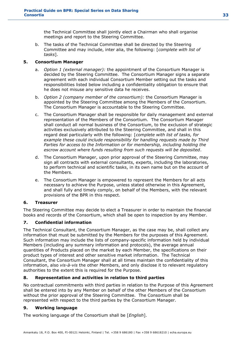the Technical Committee shall jointly elect a Chairman who shall organise meetings and report to the Steering Committee.

b. The tasks of the Technical Committee shall be directed by the Steering Committee and may include, inter alia, the following: [*complete with list of tasks*].

#### **5. Consortium Manager**

- a. *Option 1 (external manager):* the appointment of the Consortium Manager is decided by the Steering Committee. The Consortium Manager signs a separate agreement with each individual Consortium Member setting out the tasks and responsibilities listed below including a confidentiality obligation to ensure that he does not misuse any sensitive data he receives.
- b. *Option 2 (company member of the consortium):* the Consortium Manager is appointed by the Steering Committee among the Members of the Consortium. The Consortium Manager is accountable to the Steering Committee.
- c. The Consortium Manager shall be responsible for daily management and external representation of the Members of the Consortium. The Consortium Manager shall conduct all normal business of the Consortium, to the exclusion of strategic activities exclusively attributed to the Steering Committee, and shall in this regard deal particularly with the following: [*complete with list of tasks, for example these could include responsibility for handling requests made by Third Parties for access to the Information or for membership, including holding the escrow account where funds resulting from such requests will be deposited*.
- d. The Consortium Manager, upon prior approval of the Steering Committee, may sign all contracts with external consultants, experts, including the laboratories, to perform technical and scientific tasks, in its own name but on the account of the Members.
- e. The Consortium Manager is empowered to represent the Members for all acts necessary to achieve the Purpose, unless stated otherwise in this Agreement, and shall fully and timely comply, on behalf of the Members, with the relevant provisions of the BPR in this respect.

#### **6. Treasurer**

The Steering Committee may decide to elect a Treasurer in order to maintain the financial books and records of the Consortium, which shall be open to inspection by any Member.

#### **7. Confidential information**

The Technical Consultant, the Consortium Manager, as the case may be, shall collect any information that must be submitted by the Members for the purposes of this Agreement. Such information may include the lists of company-specific information held by individual Members (including any summary information and protocols), the average annual quantities of Products placed on the market by each Member, the specifications on their product types of interest and other sensitive market information. The Technical Consultant, the Consortium Manager shall at all times maintain the confidentiality of this information, also *vis-à-vis* the other Members, and only disclose it to relevant regulatory authorities to the extent this is required for the Purpose.

#### **8. Representation and activities in relation to third parties**

No contractual commitments with third parties in relation to the Purpose of this Agreement shall be entered into by any Member on behalf of the other Members of the Consortium without the prior approval of the Steering Committee. The Consortium shall be represented with respect to the third parties by the Consortium Manager.

#### **9. Working language**

The working language of the Consortium shall be [*English*].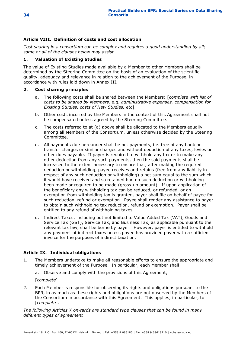#### **Article VIII. Definition of costs and cost allocation**

*Cost sharing in a consortium can be complex and requires a good understanding by all; some or all of the clauses below may assist*

#### **1. Valuation of Existing Studies**

The value of Existing Studies made available by a Member to other Members shall be determined by the Steering Committee on the basis of an evaluation of the scientific quality, adequacy and relevance in relation to the achievement of the Purpose, in accordance with rules laid down in Annex III.

#### **2. Cost sharing principles**

- a. The following costs shall be shared between the Members: [*complete with list of costs to be shared by Members, e.g. administrative expenses, compensation for Existing Studies, costs of New Studies, etc*].
- b. Other costs incurred by the Members in the context of this Agreement shall not be compensated unless agreed by the Steering Committee.
- c. The costs referred to at (a) above shall be allocated to the Members equally, among all Members of the Consortium, unless otherwise decided by the Steering Committee.
- d. All payments due hereunder shall be net payments, i.e. free of any bank or transfer charges or similar charges and without deduction of any taxes, levies or other dues payable. If payer is required to withhold any tax or to make any other deduction from any such payments, then the said payments shall be increased to the extent necessary to ensure that, after making the required deduction or withholding, payee receives and retains (free from any liability in respect of any such deduction or withholding) a net sum equal to the sum which it would have received and so retained had no such deduction or withholding been made or required to be made (gross-up amount). If upon application of the beneficiary any withholding tax can be reduced, or refunded, or an exemption from withholding tax is granted, payer shall file on behalf of payee for such reduction, refund or exemption. Payee shall render any assistance to payer to obtain such withholding tax reduction, refund or exemption. Payer shall be entitled to any refund of withholding taxes.
- d. Indirect Taxes, including but not limited to Value Added Tax (VAT), Goods and Service Tax (GST), Service Tax, and Business Tax, as applicable pursuant to the relevant tax law, shall be borne by payer. However, payer is entitled to withhold any payment of indirect taxes unless payee has provided payer with a sufficient invoice for the purposes of indirect taxation.

#### **Article IX. Individual obligations**

- 1. The Members undertake to make all reasonable efforts to ensure the appropriate and timely achievement of the Purpose. In particular, each Member shall:
	- a. Observe and comply with the provisions of this Agreement;

[*complete*]

2. Each Member is responsible for observing its rights and obligations pursuant to the BPR, in as much as these rights and obligations are not observed by the Members of the Consortium in accordance with this Agreement. This applies, in particular, to [*complete*]*.*

*The following Articles X onwards are standard type clauses that can be found in many different types of agreement*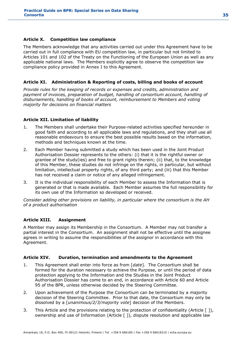#### **Article X. Competition law compliance**

The Members acknowledge that any activities carried out under this Agreement have to be carried out in full compliance with EU competition law, in particular but not limited to Articles 101 and 102 of the Treaty on the Functioning of the European Union as well as any applicable national laws. The Members explicitly agree to observe the competition law compliance policy provided in Annex I to this Agreement.

#### **Article XI. Administration & Reporting of costs, billing and books of account**

*Provide rules for the keeping of records or expenses and credits, administration and payment of invoices, preparation of budget, handling of consortium account, handling of disbursements, handling of books of account, reimbursement to Members and voting majority for decisions on financial matters*

#### **Article XII. Limitation of liability**

- 1. The Members shall undertake their Purpose-related activities specified hereunder in good faith and according to all applicable laws and regulations, and they shall use all reasonable endeavours to ensure the best possible results based on the information, methods and techniques known at the time.
- 2. Each Member having submitted a study which has been used in the Joint Product Authorisation Dossier represents to the others: (i) that it is the rightful owner or grantee of the study(ies) and free to grant rights therein; (ii) that, to the knowledge of this Member, these studies do not infringe on the rights, in particular, but without limitation, intellectual property rights, of any third party; and (iii) that this Member has not received a claim or notice of any alleged infringement.
- 3. It is the individual responsibility of each Member to assess the Information that is generated or that is made available. Each Member assumes the full responsibility for its own use of the Information so developed or received.

*Consider adding other provisions on liability, in particular where the consortium is the AH of a product authorisation*

#### **Article XIII. Assignment**

A Member may assign its Membership in the Consortium. A Member may not transfer a partial interest in the Consortium. An assignment shall not be effective until the assignee agrees in writing to assume the responsibilities of the assignor in accordance with this Agreement.

#### **Article XIV. Duration, termination and amendments to the Agreement**

- 1. This Agreement shall enter into force as from [*date*]. The Consortium shall be formed for the duration necessary to achieve the Purpose, or until the period of data protection applying to the Information and the Studies in the Joint Product Authorisation Dossier has come to an end, in accordance with Article 60 and Article 95 of the BPR, unless otherwise decided by the Steering Committee.
- 2. Upon achievement of the Purpose the Consortium can be terminated by a majority decision of the Steering Committee. Prior to that date, the Consortium may only be dissolved by a [*unanimous/2/3/majority vote*] decision of the Members.
- 3. This Article and the provisions relating to the protection of confidentiality (Article [ ]), ownership and use of Information (Article [ ]), dispute resolution and applicable law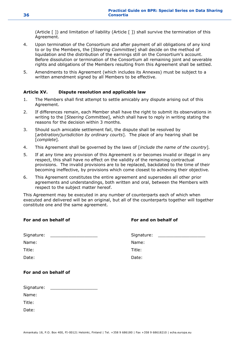(Article [ ]) and limitation of liability (Article [ ]) shall survive the termination of this Agreement.

- 4. Upon termination of the Consortium and after payment of all obligations of any kind to or by the Members, the [*Steering Committee*] shall decide on the method of liquidation and the distribution of the earnings still on the Consortium's account. Before dissolution or termination of the Consortium all remaining joint and severable rights and obligations of the Members resulting from this Agreement shall be settled.
- 5. Amendments to this Agreement (which includes its Annexes) must be subject to a written amendment signed by all Members to be effective.

#### **Article XV. Dispute resolution and applicable law**

- 1. The Members shall first attempt to settle amicably any dispute arising out of this Agreement.
- 2. If differences remain, each Member shall have the right to submit its observations in writing to the [*Steering Committee*], which shall have to reply in writing stating the reasons for the decision within 3 months.
- 3. Should such amicable settlement fail, the dispute shall be resolved by [*arbitration/jurisdiction by ordinary courts*]. The place of any hearing shall be [*complete*]*.*
- 4. This Agreement shall be governed by the laws of [*include the name of the country*]*.*
- 5. If at any time any provision of this Agreement is or becomes invalid or illegal in any respect, this shall have no effect on the validity of the remaining contractual provisions. The invalid provisions are to be replaced, backdated to the time of their becoming ineffective, by provisions which come closest to achieving their objective.
- 6. This Agreement constitutes the entire agreement and supersedes all other prior agreements and understandings, both written and oral, between the Members with respect to the subject matter hereof.

This Agreement may be executed in any number of counterparts each of which when executed and delivered will be an original, but all of the counterparts together will together constitute one and the same agreement.

| For and on behalf of            | For and on behalf of            |
|---------------------------------|---------------------------------|
| Signature: ____________________ | Signature: ____________________ |
| Name:                           | Name:                           |
| Title:                          | Title:                          |
| Date:                           | Date:                           |
| For and on behalf of            |                                 |
| Signature: ____________________ |                                 |
| Name:                           |                                 |
| Title:                          |                                 |

Date: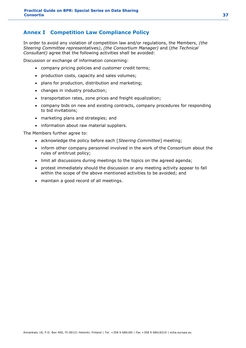### **Annex I Competition Law Compliance Policy**

In order to avoid any violation of competition law and/or regulations, the Members, *(the Steering Committee representatives)*, *(the Consortium Manager)* and (*the Technical Consultant)* agree that the following activities shall be avoided:

Discussion or exchange of information concerning:

- company pricing policies and customer credit terms;
- production costs, capacity and sales volumes;
- plans for production, distribution and marketing;
- changes in industry production;
- transportation rates, zone prices and freight equalization;
- company bids on new and existing contracts, company procedures for responding to bid invitations;
- marketing plans and strategies; and
- information about raw material suppliers.

The Members further agree to:

- acknowledge the policy before each [*Steering Committee*] meeting;
- inform other company personnel involved in the work of the Consortium about the rules of antitrust policy;
- limit all discussions during meetings to the topics on the agreed agenda;
- protest immediately should the discussion or any meeting activity appear to fall within the scope of the above mentioned activities to be avoided; and
- maintain a good record of all meetings.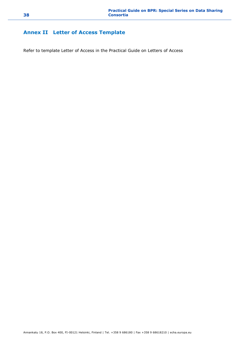### **Annex II Letter of Access Template**

Refer to template Letter of Access in the Practical Guide on Letters of Access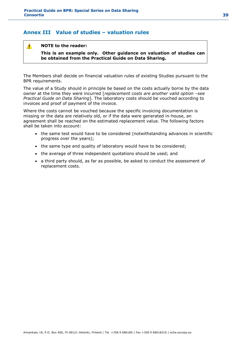### **Annex III Value of studies – valuation rules**

#### **NOTE to the reader:**

 $\mathbf{A}$ 

**This is an example only. Other guidance on valuation of studies can be obtained from the Practical Guide on Data Sharing.**

The Members shall decide on financial valuation rules of existing Studies pursuant to the BPR requirements.

The value of a Study should in principle be based on the costs actually borne by the data owner at the time they were incurred [*replacement costs are another valid option –see Practical Guide on Data Sharing*]. The laboratory costs should be vouched according to invoices and proof of payment of the invoice.

Where the costs cannot be vouched because the specific invoicing documentation is missing or the data are relatively old, or if the data were generated in-house, an agreement shall be reached on the estimated replacement value. The following factors shall be taken into account:

- the same test would have to be considered (notwithstanding advances in scientific progress over the years);
- the same type and quality of laboratory would have to be considered;
- the average of three independent quotations should be used; and
- a third party should, as far as possible, be asked to conduct the assessment of replacement costs.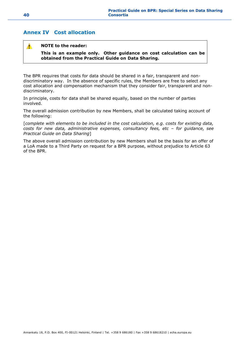### **Annex IV Cost allocation**

#### **NOTE to the reader:**   $\blacktriangle$

**This is an example only. Other guidance on cost calculation can be obtained from the Practical Guide on Data Sharing.**

The BPR requires that costs for data should be shared in a fair, transparent and nondiscriminatory way. In the absence of specific rules, the Members are free to select any cost allocation and compensation mechanism that they consider fair, transparent and nondiscriminatory.

In principle, costs for data shall be shared equally, based on the number of parties involved.

The overall admission contribution by new Members, shall be calculated taking account of the following:

[*complete with elements to be included in the cost calculation, e.g. costs for existing data, costs for new data, administrative expenses, consultancy fees, etc - for guidance, see Practical Guide on Data Sharing*]

The above overall admission contribution by new Members shall be the basis for an offer of a LoA made to a Third Party on request for a BPR purpose, without prejudice to Article 63 of the BPR.